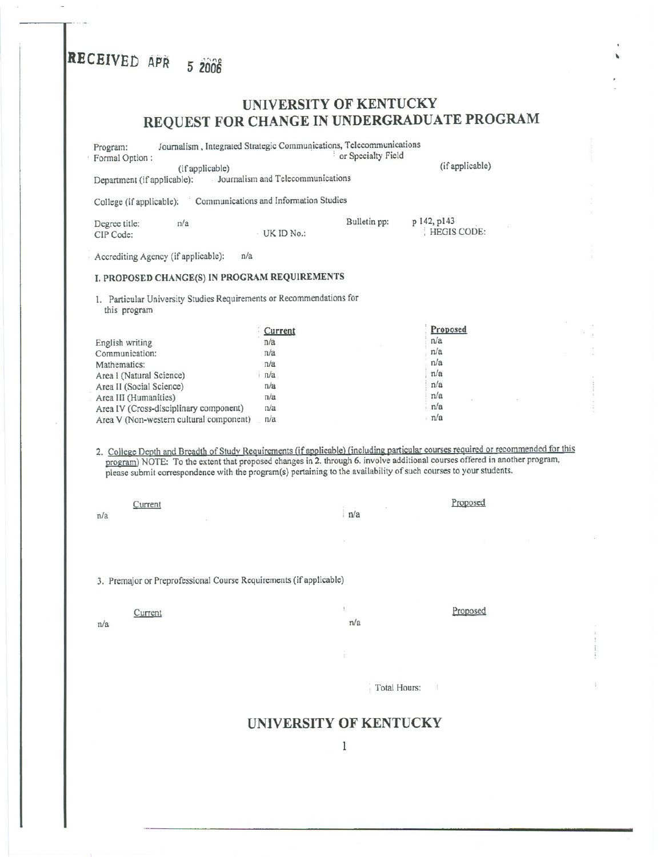# **RECEIVED** APR 5 2006

# UNIVERSITY OF KENTUCKY REQUEST FOR CHANGE IN UNDERGRADUATE PROGRAM

Program: Journalism, Integrated Strategic Communications, Telecommunications<br>
Formal Option:<br>
Texts or Specialty Field : or Specialty Field (if applicable)<br>Department (if applicable): Jou Journalism and Telecommunications (if applicable) College (if applicable): 'Communications and Information Studies Degree title: CIPCode: n/a  $\qquad \qquad \text{Bulletin pp:}$  p 142, p143 . HEGIS CODE: Accrediting Agency (if applicable): n/a I. PROPOSED CHANGE(S) IN PROGRAM REQUIREMENTS I. Particular University Studies Requirements or Recommendations for this program English writing Communication: Mathematics: Area I (Natural Science) Area II (Social Science) Area III (Humanities) Area IV (Cross-disciplinary component) Area V (Non-western cultural component) **Current** . *nla* nla nla ; nla nla nla nla *nla* Proposed  $n/a$ n/a  $n/a$ n/a ; *nla* : nla n/a nla 2. College Depth and Breadth of Study Requirements (if applicable) (including particular courses required or recommended for this program) NOTE: To the extent that proposed changes in 2. through 6. involve additional courses offered in another program, please submit correspondence with the program(s) pertaining to the availability of such courses to your students. Current Proposed **Proposed** *nla* i *nla* 

3. premajor or Preprofessional Course Requirements (if applicable)

 $n/a$ 

<u>Current</u> Proposed

\

, Total Hours:

### UNIVERSITY OF KENTUCKY

 $\mathbf{1}$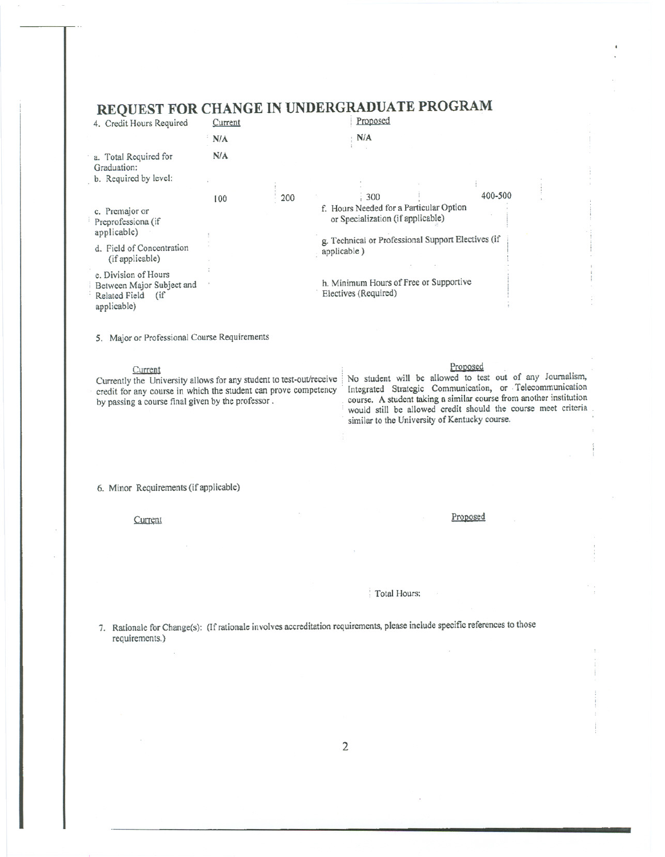| <b>REQUEST FOR CHANGE IN UNDERGRADUATE PROGRAM</b>                  |                                                                |     |                                                    |                                                                              |  |         |  |
|---------------------------------------------------------------------|----------------------------------------------------------------|-----|----------------------------------------------------|------------------------------------------------------------------------------|--|---------|--|
| 4. Credit Hours Required                                            | Current                                                        |     |                                                    | Proposed                                                                     |  |         |  |
|                                                                     | N/A                                                            |     |                                                    | $\cdot$ N/A                                                                  |  |         |  |
| a. Total Required for<br>Graduation:                                | N/A                                                            |     |                                                    |                                                                              |  |         |  |
| b. Required by level:                                               |                                                                |     |                                                    |                                                                              |  |         |  |
|                                                                     | 100                                                            | 200 |                                                    | 300                                                                          |  | 400-500 |  |
| c. Premajor or<br>Preprofessiona (if<br>applicable)                 |                                                                |     |                                                    | f. Hours Needed for a Particular Option<br>or Specialization (if applicable) |  |         |  |
|                                                                     |                                                                |     | g. Technical or Professional Support Electives (if |                                                                              |  |         |  |
| d. Field of Concentration<br>(if applicable)                        |                                                                |     |                                                    | applicable)                                                                  |  |         |  |
| e. Division of Hours                                                |                                                                |     |                                                    |                                                                              |  |         |  |
| Between Major Subject and<br>Related Field<br>$(i$ f<br>applicable) | h. Minimum Hours of Free or Supportive<br>Electives (Required) |     |                                                    |                                                                              |  |         |  |

### $(1.00000000000100)$

5. Major or Professional Course Requirements

Currentlythe Universityallowsfor any studentto test-outlreceive: No student will be allowed to test out of any Journalism,

### current **explored**  $\epsilon$  **contract the contract of the contract of the contract of the contract of the contract of the contract of the contract of the contract of the contract of the contract of the contract of the contract**

credit for any course in which the student can prove competency. Integrated Strategic Communication, or. Telecommunication by passing a course inal given by the professor. by passinga coursefinal givenby the professor. . course. A studenttakinga similarcoursefromanotherinstitution . would still be allowed credit should the course meet criteria. . similar to the University of Kentucky course.

6. Minor Requirements (if applicable)

**Current** Proposed

### : Total Hours:

7. Rationale for Change(s): (If rationale involves accreditation requirements, please include specific references to those requirements.)